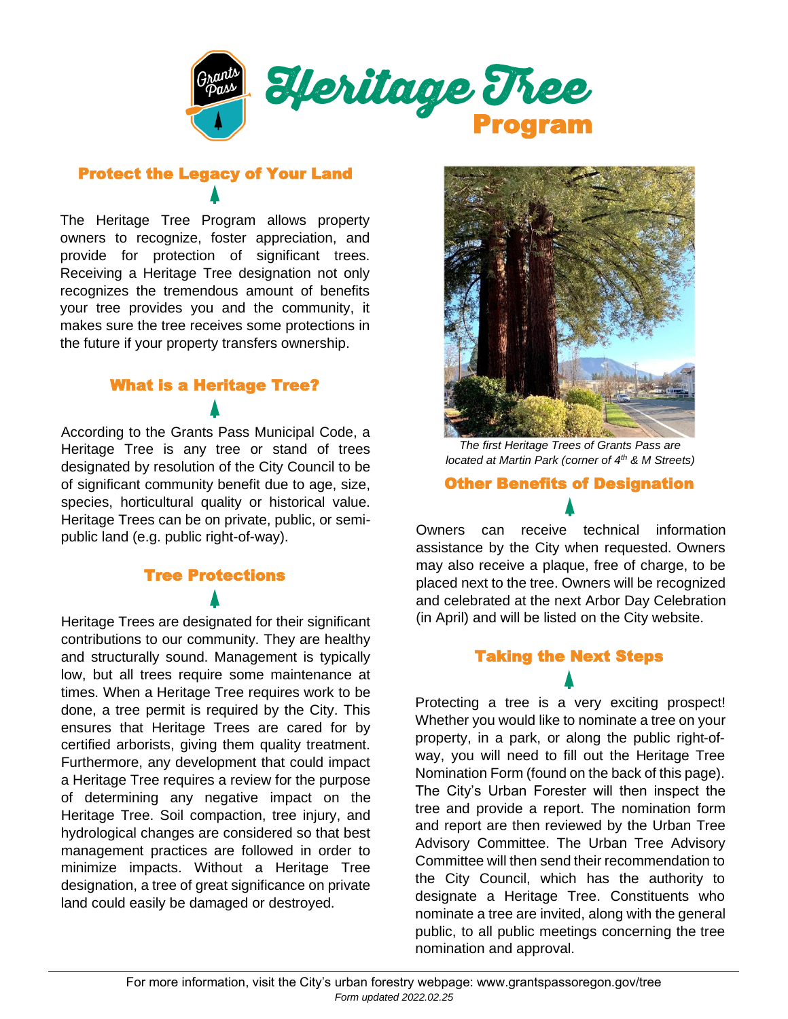

## Protect the Legacy of Your Land

The Heritage Tree Program allows property owners to recognize, foster appreciation, and provide for protection of significant trees. Receiving a Heritage Tree designation not only recognizes the tremendous amount of benefits your tree provides you and the community, it makes sure the tree receives some protections in the future if your property transfers ownership.

## What is a Heritage Tree?

According to the Grants Pass Municipal Code, a Heritage Tree is any tree or stand of trees designated by resolution of the City Council to be of significant community benefit due to age, size, species, horticultural quality or historical value. Heritage Trees can be on private, public, or semipublic land (e.g. public right-of-way).

# Tree Protections

Heritage Trees are designated for their significant contributions to our community. They are healthy and structurally sound. Management is typically low, but all trees require some maintenance at times. When a Heritage Tree requires work to be done, a tree permit is required by the City. This ensures that Heritage Trees are cared for by certified arborists, giving them quality treatment. Furthermore, any development that could impact a Heritage Tree requires a review for the purpose of determining any negative impact on the Heritage Tree. Soil compaction, tree injury, and hydrological changes are considered so that best management practices are followed in order to minimize impacts. Without a Heritage Tree designation, a tree of great significance on private land could easily be damaged or destroyed.



*The first Heritage Trees of Grants Pass are located at Martin Park (corner of 4th & M Streets)*

### Other Benefits of Designation

Owners can receive technical information assistance by the City when requested. Owners may also receive a plaque, free of charge, to be placed next to the tree. Owners will be recognized and celebrated at the next Arbor Day Celebration (in April) and will be listed on the City website.

### Taking the Next Steps

Protecting a tree is a very exciting prospect! Whether you would like to nominate a tree on your property, in a park, or along the public right-ofway, you will need to fill out the Heritage Tree Nomination Form (found on the back of this page). The City's Urban Forester will then inspect the tree and provide a report. The nomination form and report are then reviewed by the Urban Tree Advisory Committee. The Urban Tree Advisory Committee will then send their recommendation to the City Council, which has the authority to designate a Heritage Tree. Constituents who nominate a tree are invited, along with the general public, to all public meetings concerning the tree nomination and approval.